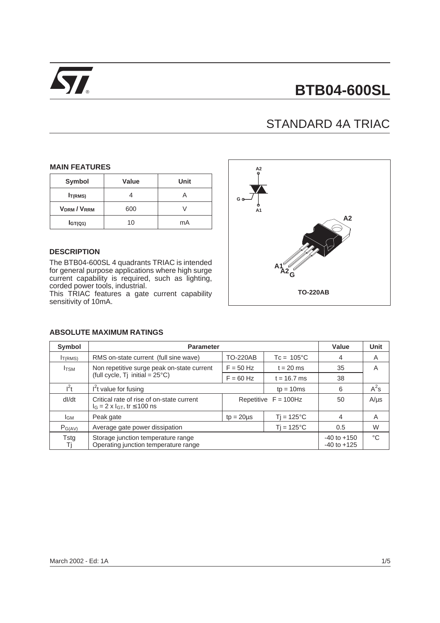

# ® **BTB04-600SL**

# STANDARD 4A TRIAC

#### **MAIN FEATURES**

| Symbol              | Value | Unit |
|---------------------|-------|------|
| $I_{T(RMS)}$        |       |      |
| <b>VDRM/VRRM</b>    | 600   |      |
| I <sub>GT(Q1)</sub> | 10    | mA   |

#### **DESCRIPTION**

The BTB04-600SL 4 quadrants TRIAC is intended for general purpose applications where high surge current capability is required, such as lighting, corded power tools, industrial.

This TRIAC features a gate current capability sensitivity of 10mA.



| Symbol              | <b>Parameter</b>                                                                        | Value           | <b>Unit</b>             |                                    |             |
|---------------------|-----------------------------------------------------------------------------------------|-----------------|-------------------------|------------------------------------|-------------|
| I <sub>T(RMS)</sub> | RMS on-state current (full sine wave)                                                   | <b>TO-220AB</b> | $Tc = 105^{\circ}C$     | 4                                  | A           |
| $I_{\text{TSM}}$    | Non repetitive surge peak on-state current                                              | $F = 50$ Hz     | $t = 20$ ms             | 35                                 | A           |
|                     | (full cycle, Tj initial = $25^{\circ}$ C)                                               |                 | $t = 16.7$ ms           | 38                                 |             |
| l <sup>2</sup> t    | $I2t$ value for fusing<br>$tp = 10ms$                                                   |                 |                         | 6                                  | $A^2s$      |
| dl/dt               | Critical rate of rise of on-state current<br>$I_G = 2 \times I_{GT}$ , tr $\leq 100$ ns |                 | Repetitive $F = 100$ Hz | 50                                 | $A/\mu s$   |
| IGМ                 | Peak gate<br>$tp = 20 \mu s$                                                            |                 | $Tj = 125^{\circ}C$     | 4                                  | A           |
| $P_{G(AV)}$         | Average gate power dissipation<br>$Ti = 125^{\circ}C$                                   |                 |                         | 0.5                                | W           |
| Tstg<br>Τj          | Storage junction temperature range<br>Operating junction temperature range              |                 |                         | $-40$ to $+150$<br>$-40$ to $+125$ | $^{\circ}C$ |

#### **ABSOLUTE MAXIMUM RATINGS**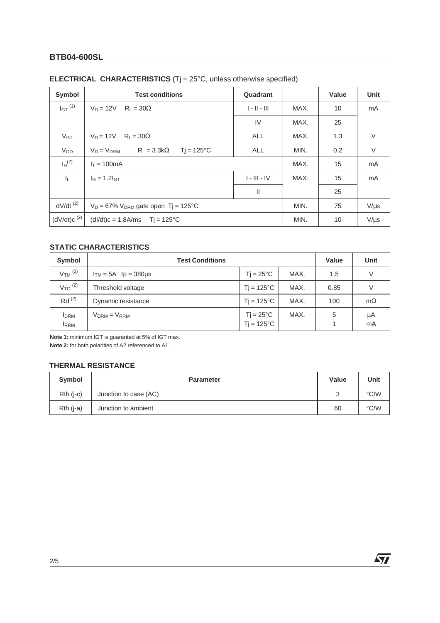# **BTB04-600SL**

| <b>Symbol</b>          | <b>Test conditions</b><br>Quadrant                           |                |      | Value     | Unit      |
|------------------------|--------------------------------------------------------------|----------------|------|-----------|-----------|
| $IGT$ <sup>(1)</sup>   | $V_D = 12V$<br>$R_L = 30\Omega$                              | $1 - 11 - 111$ | MAX. | 10        | mA        |
|                        |                                                              | IV             | MAX. | 25        |           |
| $V_{GT}$               | $V_D = 12V$<br>$R_1 = 30\Omega$                              | <b>ALL</b>     | MAX. | 1.3       | V         |
| $V_{GD}$               | $R_1 = 3.3k\Omega$<br>$Ti = 125^{\circ}C$<br>$V_D = V_{DRM}$ | ALL            | MIN. | 0.2       | $\vee$    |
| $I_H$ <sup>(2)</sup>   | $I_T = 100mA$                                                |                | MAX. | 15        | mA        |
| ΙL.                    | $I_G = 1.2I_{GT}$                                            | $I - III - IV$ | MAX. | 15        | mA        |
|                        |                                                              | Ш              |      | 25        |           |
| $dV/dt$ <sup>(2)</sup> | $V_D = 67\%$ V <sub>DRM</sub> gate open Tj = 125°C           | MIN.           | 75   | $V/\mu s$ |           |
| $(dV/dt)c^{(2)}$       | $(dI/dt)c = 1.8A/ms$ Tj = 125°C                              |                |      | 10        | $V/\mu s$ |

# **ELECTRICAL CHARACTERISTICS** (Tj = 25°C, unless otherwise specified)

# **STATIC CHARACTERISTICS**

| Symbol                      | <b>Test Conditions</b> |                                           |      |      | <b>Unit</b> |
|-----------------------------|------------------------|-------------------------------------------|------|------|-------------|
| $VTM$ <sup>(2)</sup>        | $ITM = 5A$ tp = 380 µs | $Ti = 25^{\circ}C$                        | MAX. | 1.5  | V           |
| $V_{TO}$ <sup>(2)</sup>     | Threshold voltage      | $Ti = 125^{\circ}C$                       | MAX. | 0.85 | ν           |
| $Rd^{(2)}$                  | Dynamic resistance     | $Ti = 125^{\circ}C$                       | MAX. | 100  | $m\Omega$   |
| <b>I</b> DRM<br><b>IRRM</b> | $VDRM = VRRM$          | $Tj = 25^{\circ}C$<br>$Tj = 125^{\circ}C$ | MAX. | 5    | μA<br>mA    |

**Note 1:** minimum IGT is guaranted at 5% of IGT max. **Note 2:** for both polarities of A2 referenced to A1.

### **THERMAL RESISTANCE**

| Symbol      | <b>Parameter</b>      | Value | Unit |
|-------------|-----------------------|-------|------|
| $Rth$ (j-c) | Junction to case (AC) | ົ     | °C/W |
| $Rth (j-a)$ | Junction to ambient   | 60    | °C/W |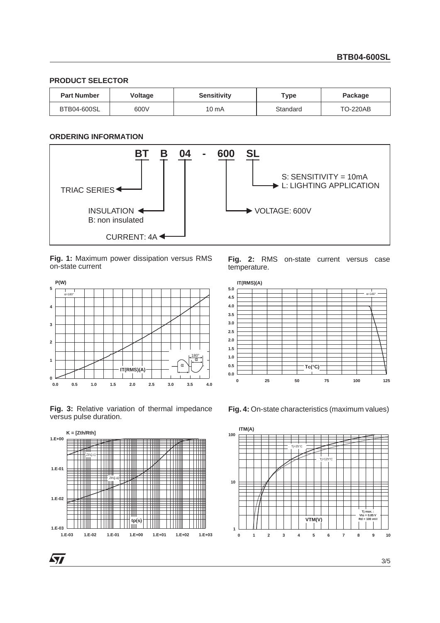#### **PRODUCT SELECTOR**

| <b>Part Number</b> | <b>Voltage</b> | <b>Sensitivity</b> | Type     | Package         |
|--------------------|----------------|--------------------|----------|-----------------|
| BTB04-600SL        | 600V           | 10 mA              | Standard | <b>TO-220AB</b> |

#### **ORDERING INFORMATION**



#### **Fig. 1:** Maximum power dissipation versus RMS on-state current



**Fig. 3:** Relative variation of thermal impedance versus pulse duration.



**Fig. 2:** RMS on-state current versus case temperature.



**Fig. 4:** On-state characteristics (maximum values)

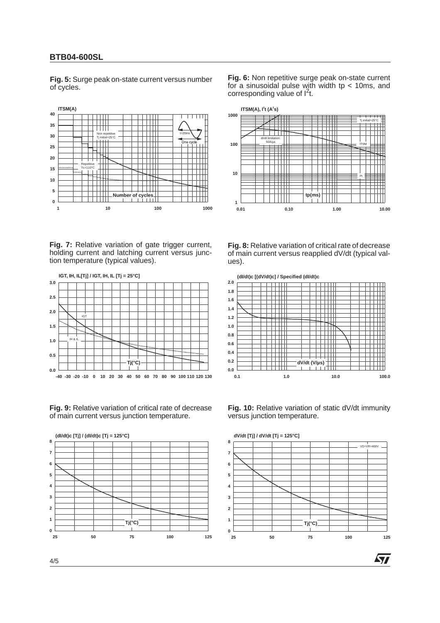#### **BTB04-600SL**

**Fig. 5:** Surge peak on-state current versus number of cycles.



Fig. 7: Relative variation of gate trigger current, holding current and latching current versus junction temperature (typical values).



**Fig. 9:** Relative variation of critical rate of decrease of main current versus junction temperature.



**Fig. 6:** Non repetitive surge peak on-state current for a sinusoidal pulse with width tp  $<$  10ms, and  $\frac{1}{2}$  corresponding value of  $1^2$ t.



**Fig. 8:** Relative variation of critical rate of decrease of main current versus reapplied dV/dt (typical values).



**Fig. 10:** Relative variation of static dV/dt immunity versus junction temperature.



57